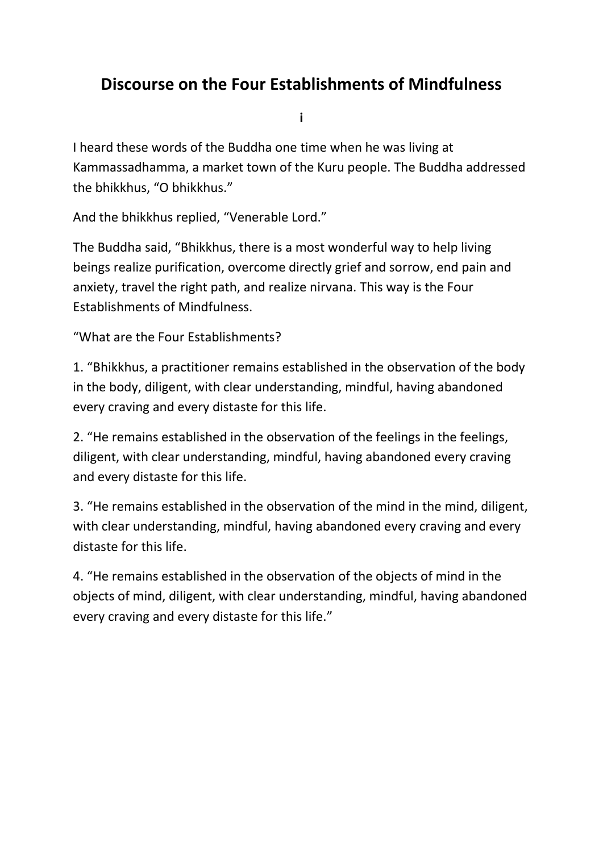## **Discourse on the Four Establishments of Mindfulness**

**i**

I heard these words of the Buddha one time when he was living at Kammassadhamma, a market town of the Kuru people. The Buddha addressed the bhikkhus, "O bhikkhus."

And the bhikkhus replied, "Venerable Lord."

The Buddha said, "Bhikkhus, there is a most wonderful way to help living beings realize purification, overcome directly grief and sorrow, end pain and anxiety, travel the right path, and realize nirvana. This way is the Four Establishments of Mindfulness.

"What are the Four Establishments?

1. "Bhikkhus, a practitioner remains established in the observation of the body in the body, diligent, with clear understanding, mindful, having abandoned every craving and every distaste for this life.

2. "He remains established in the observation of the feelings in the feelings, diligent, with clear understanding, mindful, having abandoned every craving and every distaste for this life.

3. "He remains established in the observation of the mind in the mind, diligent, with clear understanding, mindful, having abandoned every craving and every distaste for this life.

4. "He remains established in the observation of the objects of mind in the objects of mind, diligent, with clear understanding, mindful, having abandoned every craving and every distaste for this life."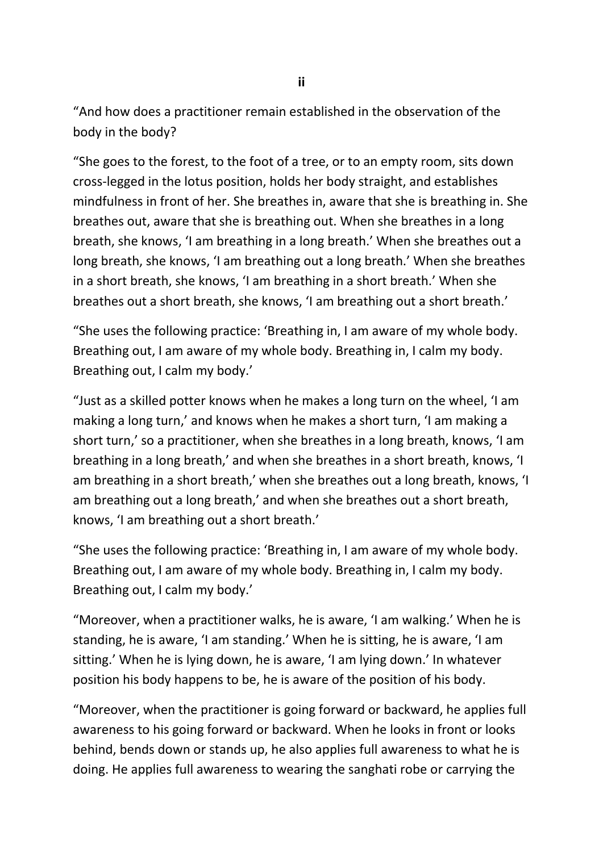"And how does a practitioner remain established in the observation of the body in the body?

"She goes to the forest, to the foot of a tree, or to an empty room, sits down cross-legged in the lotus position, holds her body straight, and establishes mindfulness in front of her. She breathes in, aware that she is breathing in. She breathes out, aware that she is breathing out. When she breathes in a long breath, she knows, 'I am breathing in a long breath.' When she breathes out a long breath, she knows, 'I am breathing out a long breath.' When she breathes in a short breath, she knows, 'I am breathing in a short breath.' When she breathes out a short breath, she knows, 'I am breathing out a short breath.'

"She uses the following practice: 'Breathing in, I am aware of my whole body. Breathing out, I am aware of my whole body. Breathing in, I calm my body. Breathing out, I calm my body.'

"Just as a skilled potter knows when he makes a long turn on the wheel, 'I am making a long turn,' and knows when he makes a short turn, 'I am making a short turn,' so a practitioner, when she breathes in a long breath, knows, 'I am breathing in a long breath,' and when she breathes in a short breath, knows, 'I am breathing in a short breath,' when she breathes out a long breath, knows, 'I am breathing out a long breath,' and when she breathes out a short breath, knows, 'I am breathing out a short breath.'

"She uses the following practice: 'Breathing in, I am aware of my whole body. Breathing out, I am aware of my whole body. Breathing in, I calm my body. Breathing out, I calm my body.'

"Moreover, when a practitioner walks, he is aware, 'I am walking.' When he is standing, he is aware, 'I am standing.' When he is sitting, he is aware, 'I am sitting.' When he is lying down, he is aware, 'I am lying down.' In whatever position his body happens to be, he is aware of the position of his body.

"Moreover, when the practitioner is going forward or backward, he applies full awareness to his going forward or backward. When he looks in front or looks behind, bends down or stands up, he also applies full awareness to what he is doing. He applies full awareness to wearing the sanghati robe or carrying the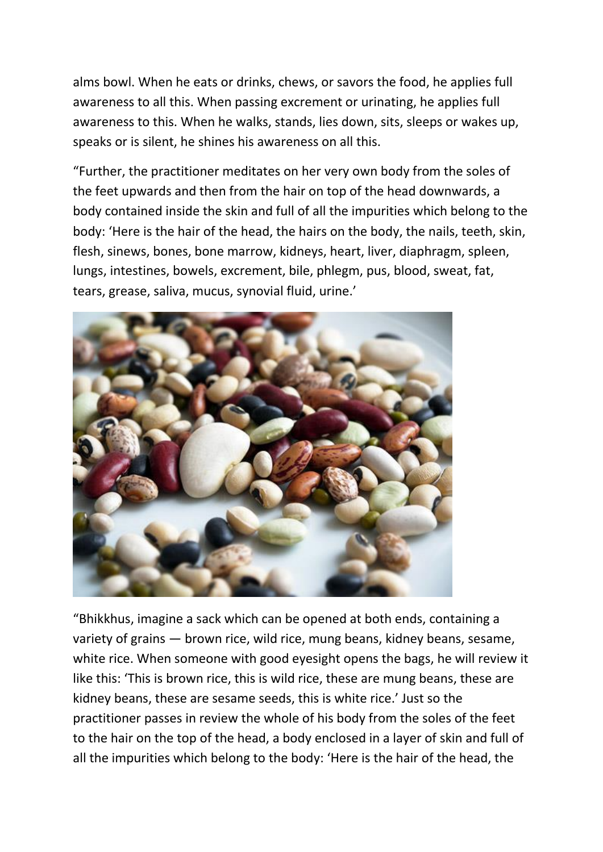alms bowl. When he eats or drinks, chews, or savors the food, he applies full awareness to all this. When passing excrement or urinating, he applies full awareness to this. When he walks, stands, lies down, sits, sleeps or wakes up, speaks or is silent, he shines his awareness on all this.

"Further, the practitioner meditates on her very own body from the soles of the feet upwards and then from the hair on top of the head downwards, a body contained inside the skin and full of all the impurities which belong to the body: 'Here is the hair of the head, the hairs on the body, the nails, teeth, skin, flesh, sinews, bones, bone marrow, kidneys, heart, liver, diaphragm, spleen, lungs, intestines, bowels, excrement, bile, phlegm, pus, blood, sweat, fat, tears, grease, saliva, mucus, synovial fluid, urine.'



"Bhikkhus, imagine a sack which can be opened at both ends, containing a variety of grains — brown rice, wild rice, mung beans, kidney beans, sesame, white rice. When someone with good eyesight opens the bags, he will review it like this: 'This is brown rice, this is wild rice, these are mung beans, these are kidney beans, these are sesame seeds, this is white rice.' Just so the practitioner passes in review the whole of his body from the soles of the feet to the hair on the top of the head, a body enclosed in a layer of skin and full of all the impurities which belong to the body: 'Here is the hair of the head, the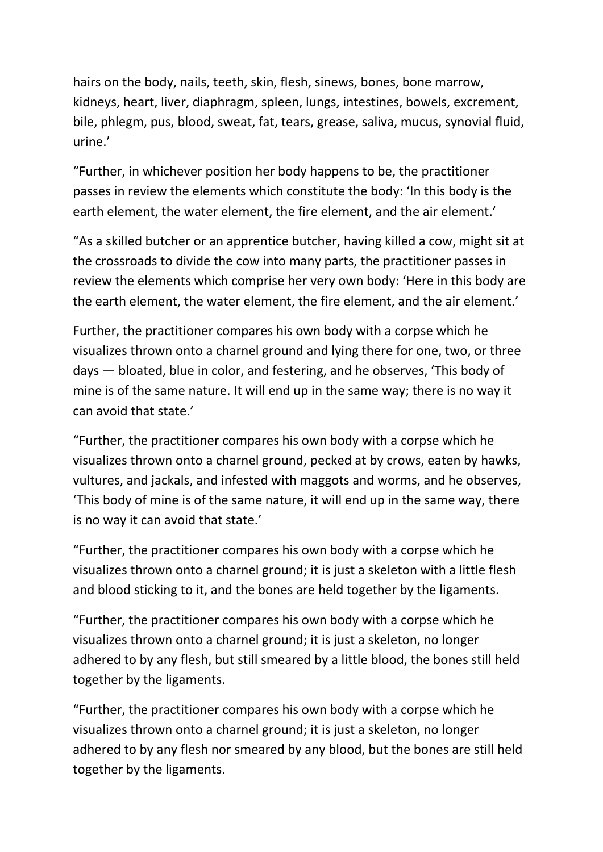hairs on the body, nails, teeth, skin, flesh, sinews, bones, bone marrow, kidneys, heart, liver, diaphragm, spleen, lungs, intestines, bowels, excrement, bile, phlegm, pus, blood, sweat, fat, tears, grease, saliva, mucus, synovial fluid, urine.'

"Further, in whichever position her body happens to be, the practitioner passes in review the elements which constitute the body: 'In this body is the earth element, the water element, the fire element, and the air element.'

"As a skilled butcher or an apprentice butcher, having killed a cow, might sit at the crossroads to divide the cow into many parts, the practitioner passes in review the elements which comprise her very own body: 'Here in this body are the earth element, the water element, the fire element, and the air element.'

Further, the practitioner compares his own body with a corpse which he visualizes thrown onto a charnel ground and lying there for one, two, or three days — bloated, blue in color, and festering, and he observes, 'This body of mine is of the same nature. It will end up in the same way; there is no way it can avoid that state.'

"Further, the practitioner compares his own body with a corpse which he visualizes thrown onto a charnel ground, pecked at by crows, eaten by hawks, vultures, and jackals, and infested with maggots and worms, and he observes, 'This body of mine is of the same nature, it will end up in the same way, there is no way it can avoid that state.'

"Further, the practitioner compares his own body with a corpse which he visualizes thrown onto a charnel ground; it is just a skeleton with a little flesh and blood sticking to it, and the bones are held together by the ligaments.

"Further, the practitioner compares his own body with a corpse which he visualizes thrown onto a charnel ground; it is just a skeleton, no longer adhered to by any flesh, but still smeared by a little blood, the bones still held together by the ligaments.

"Further, the practitioner compares his own body with a corpse which he visualizes thrown onto a charnel ground; it is just a skeleton, no longer adhered to by any flesh nor smeared by any blood, but the bones are still held together by the ligaments.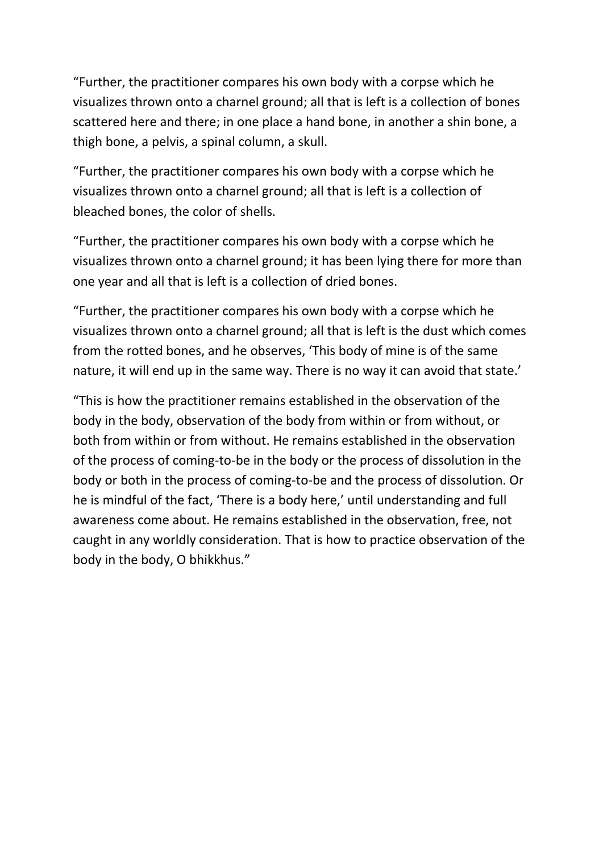"Further, the practitioner compares his own body with a corpse which he visualizes thrown onto a charnel ground; all that is left is a collection of bones scattered here and there; in one place a hand bone, in another a shin bone, a thigh bone, a pelvis, a spinal column, a skull.

"Further, the practitioner compares his own body with a corpse which he visualizes thrown onto a charnel ground; all that is left is a collection of bleached bones, the color of shells.

"Further, the practitioner compares his own body with a corpse which he visualizes thrown onto a charnel ground; it has been lying there for more than one year and all that is left is a collection of dried bones.

"Further, the practitioner compares his own body with a corpse which he visualizes thrown onto a charnel ground; all that is left is the dust which comes from the rotted bones, and he observes, 'This body of mine is of the same nature, it will end up in the same way. There is no way it can avoid that state.'

"This is how the practitioner remains established in the observation of the body in the body, observation of the body from within or from without, or both from within or from without. He remains established in the observation of the process of coming-to-be in the body or the process of dissolution in the body or both in the process of coming-to-be and the process of dissolution. Or he is mindful of the fact, 'There is a body here,' until understanding and full awareness come about. He remains established in the observation, free, not caught in any worldly consideration. That is how to practice observation of the body in the body, O bhikkhus."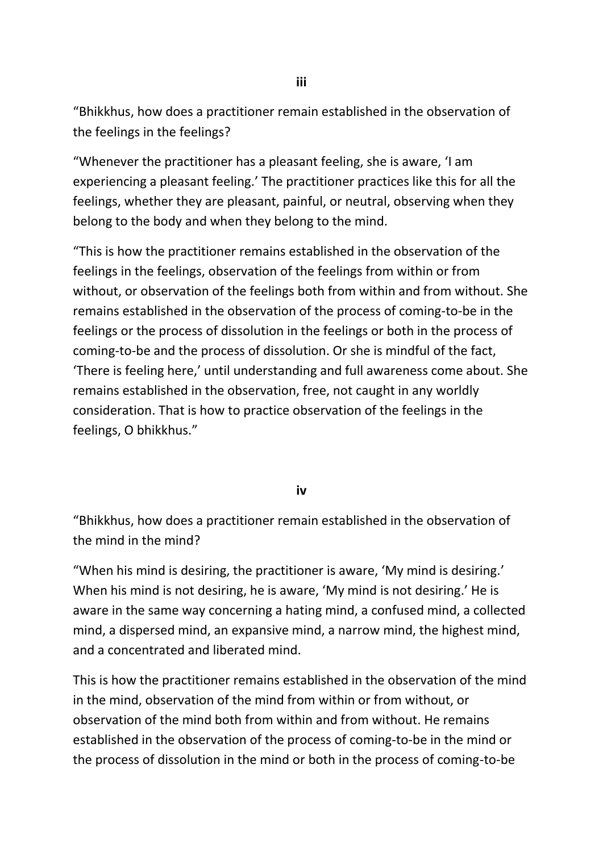"Bhikkhus, how does a practitioner remain established in the observation of the feelings in the feelings?

"Whenever the practitioner has a pleasant feeling, she is aware, 'I am experiencing a pleasant feeling.' The practitioner practices like this for all the feelings, whether they are pleasant, painful, or neutral, observing when they belong to the body and when they belong to the mind.

"This is how the practitioner remains established in the observation of the feelings in the feelings, observation of the feelings from within or from without, or observation of the feelings both from within and from without. She remains established in the observation of the process of coming-to-be in the feelings or the process of dissolution in the feelings or both in the process of coming-to-be and the process of dissolution. Or she is mindful of the fact, 'There is feeling here,' until understanding and full awareness come about. She remains established in the observation, free, not caught in any worldly consideration. That is how to practice observation of the feelings in the feelings, O bhikkhus."

## **iv**

"Bhikkhus, how does a practitioner remain established in the observation of the mind in the mind?

"When his mind is desiring, the practitioner is aware, 'My mind is desiring.' When his mind is not desiring, he is aware, 'My mind is not desiring.' He is aware in the same way concerning a hating mind, a confused mind, a collected mind, a dispersed mind, an expansive mind, a narrow mind, the highest mind, and a concentrated and liberated mind.

This is how the practitioner remains established in the observation of the mind in the mind, observation of the mind from within or from without, or observation of the mind both from within and from without. He remains established in the observation of the process of coming-to-be in the mind or the process of dissolution in the mind or both in the process of coming-to-be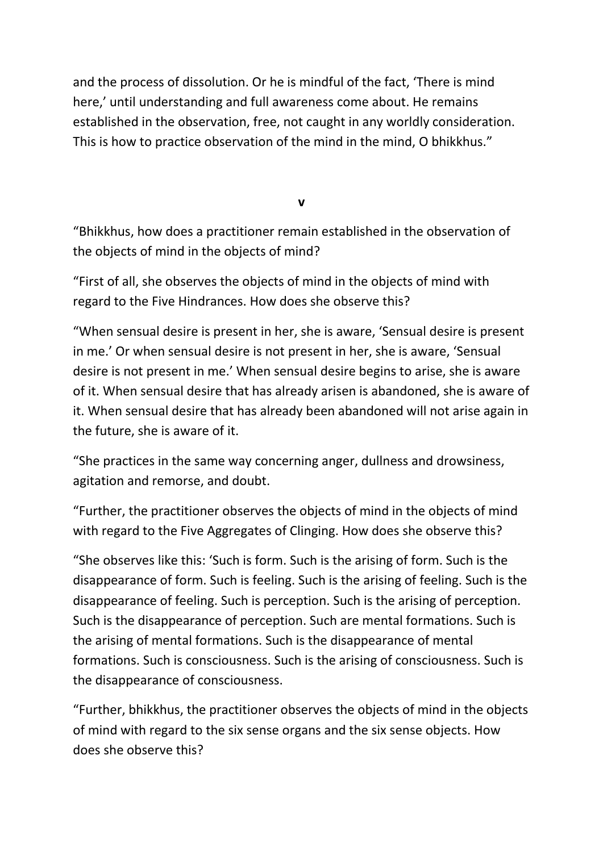and the process of dissolution. Or he is mindful of the fact, 'There is mind here,' until understanding and full awareness come about. He remains established in the observation, free, not caught in any worldly consideration. This is how to practice observation of the mind in the mind, O bhikkhus."

**v**

"Bhikkhus, how does a practitioner remain established in the observation of the objects of mind in the objects of mind?

"First of all, she observes the objects of mind in the objects of mind with regard to the Five Hindrances. How does she observe this?

"When sensual desire is present in her, she is aware, 'Sensual desire is present in me.' Or when sensual desire is not present in her, she is aware, 'Sensual desire is not present in me.' When sensual desire begins to arise, she is aware of it. When sensual desire that has already arisen is abandoned, she is aware of it. When sensual desire that has already been abandoned will not arise again in the future, she is aware of it.

"She practices in the same way concerning anger, dullness and drowsiness, agitation and remorse, and doubt.

"Further, the practitioner observes the objects of mind in the objects of mind with regard to the Five Aggregates of Clinging. How does she observe this?

"She observes like this: 'Such is form. Such is the arising of form. Such is the disappearance of form. Such is feeling. Such is the arising of feeling. Such is the disappearance of feeling. Such is perception. Such is the arising of perception. Such is the disappearance of perception. Such are mental formations. Such is the arising of mental formations. Such is the disappearance of mental formations. Such is consciousness. Such is the arising of consciousness. Such is the disappearance of consciousness.

"Further, bhikkhus, the practitioner observes the objects of mind in the objects of mind with regard to the six sense organs and the six sense objects. How does she observe this?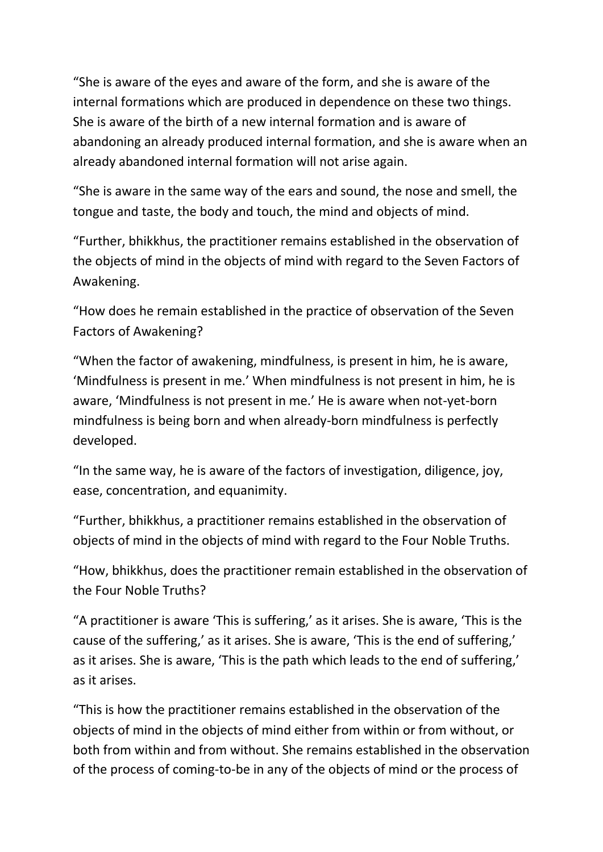"She is aware of the eyes and aware of the form, and she is aware of the internal formations which are produced in dependence on these two things. She is aware of the birth of a new internal formation and is aware of abandoning an already produced internal formation, and she is aware when an already abandoned internal formation will not arise again.

"She is aware in the same way of the ears and sound, the nose and smell, the tongue and taste, the body and touch, the mind and objects of mind.

"Further, bhikkhus, the practitioner remains established in the observation of the objects of mind in the objects of mind with regard to the Seven Factors of Awakening.

"How does he remain established in the practice of observation of the Seven Factors of Awakening?

"When the factor of awakening, mindfulness, is present in him, he is aware, 'Mindfulness is present in me.' When mindfulness is not present in him, he is aware, 'Mindfulness is not present in me.' He is aware when not-yet-born mindfulness is being born and when already-born mindfulness is perfectly developed.

"In the same way, he is aware of the factors of investigation, diligence, joy, ease, concentration, and equanimity.

"Further, bhikkhus, a practitioner remains established in the observation of objects of mind in the objects of mind with regard to the Four Noble Truths.

"How, bhikkhus, does the practitioner remain established in the observation of the Four Noble Truths?

"A practitioner is aware 'This is suffering,' as it arises. She is aware, 'This is the cause of the suffering,' as it arises. She is aware, 'This is the end of suffering,' as it arises. She is aware, 'This is the path which leads to the end of suffering,' as it arises.

"This is how the practitioner remains established in the observation of the objects of mind in the objects of mind either from within or from without, or both from within and from without. She remains established in the observation of the process of coming-to-be in any of the objects of mind or the process of